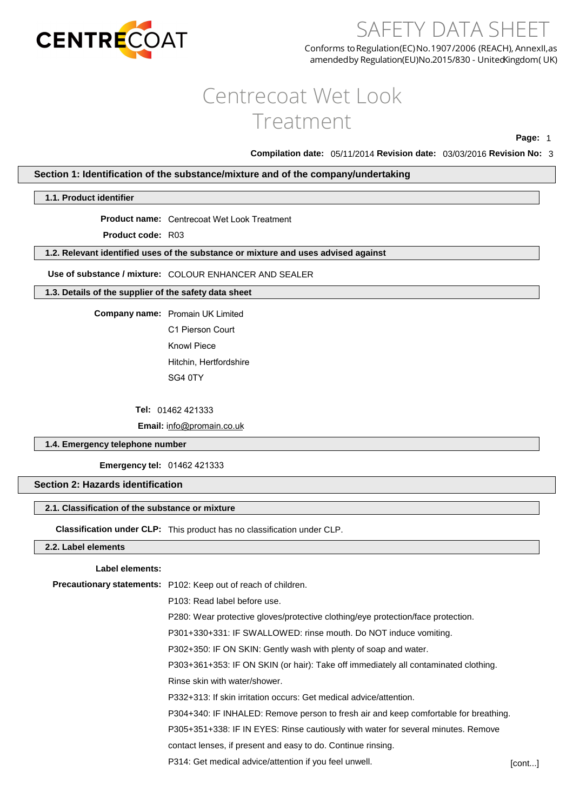

# SAFETY DATA SHEET

Conforms to Regulation(EC) No.1907/2006 (REACH), AnnexII, as amendedby Regulation(EU)No.2015/830 - United Kingdom (UK)

# Centrecoat Wet Look Treatment

**Page:** 1

**Compilation date:** 05/11/2014 **Revision date:** 03/03/2016 **Revision No:** 3

# **Section 1: Identification of the substance/mixture and of the company/undertaking**

# **1.1. Product identifier**

**Product name:** Centrecoat Wet Look Treatment

**Product code:** R03

# **1.2. Relevant identified uses of the substance or mixture and uses advised against**

**Use of substance / mixture:** COLOUR ENHANCER AND SEALER

# **1.3. Details of the supplier of the safety data sheet**

**Company name:** Promain UK Limited

C1 Pierson Court Knowl Piece Hitchin, Hertfordshire SG4 0TY

**Tel:** 01462 421333

**Email:** [info@promain.co.uk](mailto:sales@rocan.co.uk)

**1.4. Emergency telephone number**

**Emergency tel:** 01462 421333

# **Section 2: Hazards identification**

#### **2.1. Classification of the substance or mixture**

**Classification under CLP:** This product has no classification under CLP.

# **2.2. Label elements**

# **Label elements:**

**Precautionary statements:** P102: Keep out of reach of children. P103: Read label before use. P280: Wear protective gloves/protective clothing/eye protection/face protection. P301+330+331: IF SWALLOWED: rinse mouth. Do NOT induce vomiting. P302+350: IF ON SKIN: Gently wash with plenty of soap and water. P303+361+353: IF ON SKIN (or hair): Take off immediately all contaminated clothing. Rinse skin with water/shower. P332+313: If skin irritation occurs: Get medical advice/attention. P304+340: IF INHALED: Remove person to fresh air and keep comfortable for breathing. P305+351+338: IF IN EYES: Rinse cautiously with water for several minutes. Remove contact lenses, if present and easy to do. Continue rinsing. P314: Get medical advice/attention if you feel unwell. [cont...]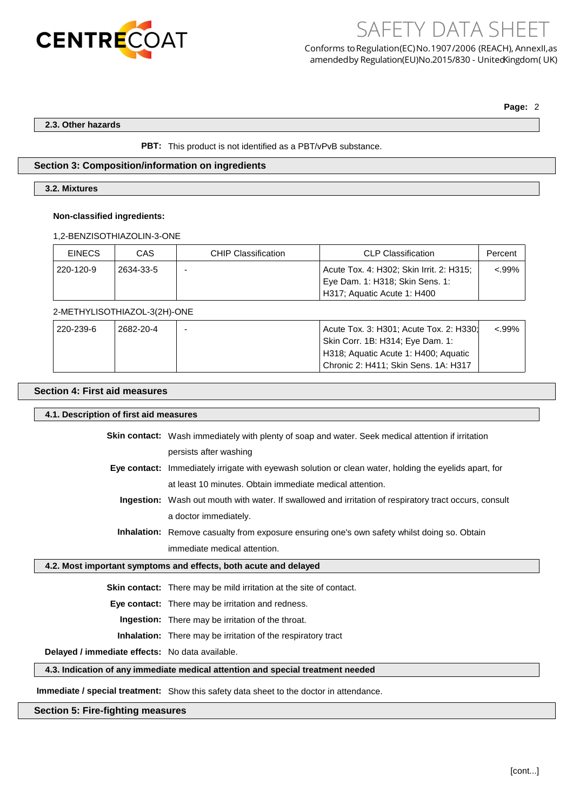

SAFETY DATA SHEET Conforms to Regulation(EC) No.1907/2006 (REACH), AnnexII, as amendedby Regulation(EU)No.2015/830 - United Kingdom (UK)

**Page:** 2

## **2.3. Other hazards**

**PBT:** This product is not identified as a PBT/vPvB substance.

# **Section 3: Composition/information on ingredients**

# **3.2. Mixtures**

#### **Non-classified ingredients:**

1,2-BENZISOTHIAZOLIN-3-ONE

| <b>EINECS</b> | CAS       | <b>CHIP Classification</b> | <b>CLP Classification</b>                | Percent |
|---------------|-----------|----------------------------|------------------------------------------|---------|
| 220-120-9     | 2634-33-5 |                            | Acute Tox. 4: H302; Skin Irrit. 2: H315; | <.99%   |
|               |           |                            | Eye Dam. 1: H318; Skin Sens. 1:          |         |
|               |           |                            | H317; Aquatic Acute 1: H400              |         |

# 2-METHYLISOTHIAZOL-3(2H)-ONE

| ່ 220-239-6 | 2682-20-4 | Acute Tox. 3: H301; Acute Tox. 2: H330; | $< .99\%$ |
|-------------|-----------|-----------------------------------------|-----------|
|             |           | Skin Corr. 1B: H314; Eye Dam. 1:        |           |
|             |           | H318; Aquatic Acute 1: H400; Aquatic    |           |
|             |           | Chronic 2: H411; Skin Sens. 1A: H317    |           |

# **Section 4: First aid measures**

#### **4.1. Description of first aid measures**

**Skin contact:** Wash immediately with plenty of soap and water. Seek medical attention if irritation persists after washing **Eye contact:** Immediately irrigate with eyewash solution or clean water, holding the eyelids apart, for at least 10 minutes. Obtain immediate medical attention.

**Ingestion:** Wash out mouth with water. If swallowed and irritation of respiratory tract occurs, consult a doctor immediately.

# **Inhalation:** Remove casualty from exposure ensuring one's own safety whilst doing so. Obtain immediate medical attention.

## **4.2. Most important symptoms and effects, both acute and delayed**

**Skin contact:** There may be mild irritation at the site of contact.

**Eye contact:** There may be irritation and redness.

**Ingestion:** There may be irritation of the throat.

**Inhalation:** There may be irritation of the respiratory tract

**Delayed / immediate effects:** No data available.

# **4.3. Indication of any immediate medical attention and special treatment needed**

**Immediate / special treatment:** Show this safety data sheet to the doctor in attendance.

# **Section 5: Fire-fighting measures**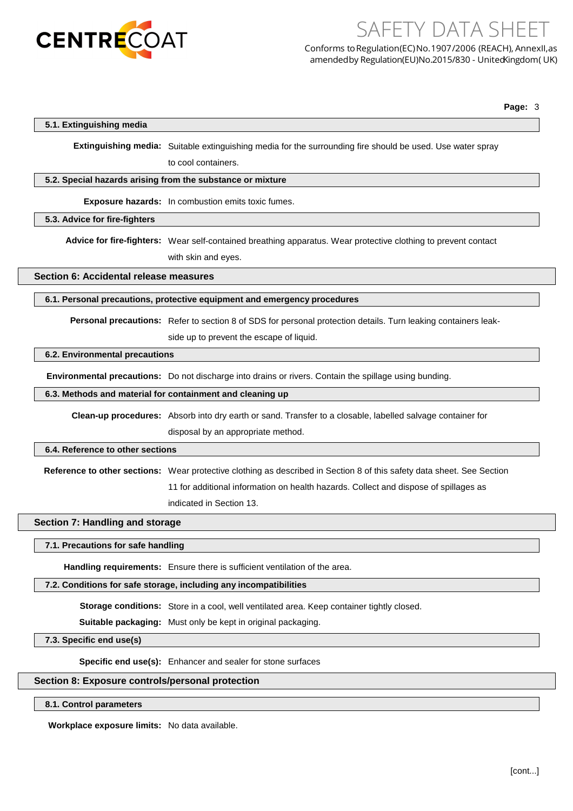

Conforms to Regulation(EC) No.1907/2006 (REACH), AnnexII, as amendedby Regulation(EU)No.2015/830 - United Kingdom (UK)

SAFETY DATA SHEET

**Page:** 3

# **5.1. Extinguishing media**

**Extinguishing media:** Suitable extinguishing media for the surrounding fire should be used. Use water spray to cool containers.

#### **5.2. Special hazards arising from the substance or mixture**

**Exposure hazards:** In combustion emits toxic fumes.

### **5.3. Advice for fire-fighters**

**Advice for fire-fighters:** Wear self-contained breathing apparatus. Wear protective clothing to prevent contact with skin and eyes.

# **Section 6: Accidental release measures**

### **6.1. Personal precautions, protective equipment and emergency procedures**

**Personal precautions:** Refer to section 8 of SDS for personal protection details. Turn leaking containers leak-

side up to prevent the escape of liquid.

## **6.2. Environmental precautions**

**Environmental precautions:** Do not discharge into drains or rivers. Contain the spillage using bunding.

### **6.3. Methods and material for containment and cleaning up**

**Clean-up procedures:** Absorb into dry earth or sand. Transfer to a closable, labelled salvage container for disposal by an appropriate method.

# **6.4. Reference to other sections**

**Reference to other sections:** Wear protective clothing as described in Section 8 of this safety data sheet. See Section 11 for additional information on health hazards. Collect and dispose of spillages as

indicated in Section 13.

# **Section 7: Handling and storage**

## **7.1. Precautions for safe handling**

**Handling requirements:** Ensure there is sufficient ventilation of the area.

# **7.2. Conditions for safe storage, including any incompatibilities**

**Storage conditions:** Store in a cool, well ventilated area. Keep container tightly closed.

**Suitable packaging:** Must only be kept in original packaging.

**7.3. Specific end use(s)**

**Specific end use(s):** Enhancer and sealer for stone surfaces

# **Section 8: Exposure controls/personal protection**

# **8.1. Control parameters**

**Workplace exposure limits:** No data available.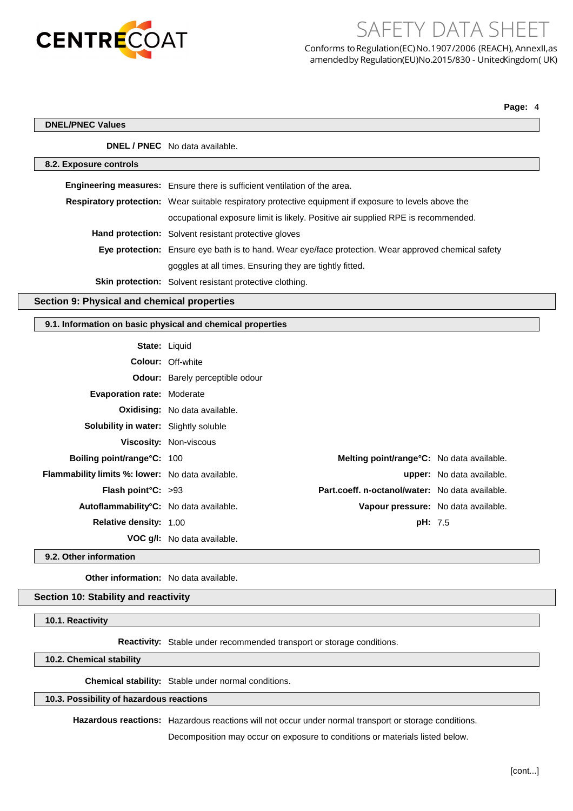

SAFETY DATA SHEET Conforms to Regulation(EC) No.1907/2006 (REACH), AnnexII, as

amendedby Regulation(EU)No.2015/830 - United Kingdom (UK)

**Page:** 4

 $\sqrt{2}$ 

|                                                            | <b>DNEL / PNEC</b> No data available.                                                                  |                                           |                           |
|------------------------------------------------------------|--------------------------------------------------------------------------------------------------------|-------------------------------------------|---------------------------|
| 8.2. Exposure controls                                     |                                                                                                        |                                           |                           |
|                                                            | Engineering measures: Ensure there is sufficient ventilation of the area.                              |                                           |                           |
|                                                            | Respiratory protection: Wear suitable respiratory protective equipment if exposure to levels above the |                                           |                           |
|                                                            | occupational exposure limit is likely. Positive air supplied RPE is recommended.                       |                                           |                           |
|                                                            | Hand protection: Solvent resistant protective gloves                                                   |                                           |                           |
|                                                            | Eye protection: Ensure eye bath is to hand. Wear eye/face protection. Wear approved chemical safety    |                                           |                           |
|                                                            | goggles at all times. Ensuring they are tightly fitted.                                                |                                           |                           |
|                                                            | Skin protection: Solvent resistant protective clothing.                                                |                                           |                           |
| Section 9: Physical and chemical properties                |                                                                                                        |                                           |                           |
| 9.1. Information on basic physical and chemical properties |                                                                                                        |                                           |                           |
| State: Liquid                                              |                                                                                                        |                                           |                           |
|                                                            | <b>Colour: Off-white</b>                                                                               |                                           |                           |
|                                                            | Odour: Barely perceptible odour                                                                        |                                           |                           |
| <b>Evaporation rate: Moderate</b>                          |                                                                                                        |                                           |                           |
|                                                            | <b>Oxidising:</b> No data available.                                                                   |                                           |                           |
| Solubility in water: Slightly soluble                      |                                                                                                        |                                           |                           |
|                                                            | Viscosity: Non-viscous                                                                                 |                                           |                           |
| Boiling point/range°C: 100                                 |                                                                                                        | Melting point/range°C: No data available. |                           |
|                                                            |                                                                                                        |                                           |                           |
| Flammability limits %: lower: No data available.           |                                                                                                        |                                           | upper: No data available. |

**Autoflammability°C:** No data available. **Vapour pressure:** No data available.

**Relative density:** 1.00 **pH:** 7.5

**9.2. Other information**

**Other information:** No data available.

**VOC g/l:** No data available.

### **Section 10: Stability and reactivity**

**10.1. Reactivity**

**Reactivity:** Stable under recommended transport or storage conditions.

**10.2. Chemical stability**

**Chemical stability:** Stable under normal conditions.

# **10.3. Possibility of hazardous reactions**

**Hazardous reactions:** Hazardous reactions will not occur under normal transport or storage conditions.

Decomposition may occur on exposure to conditions or materials listed below.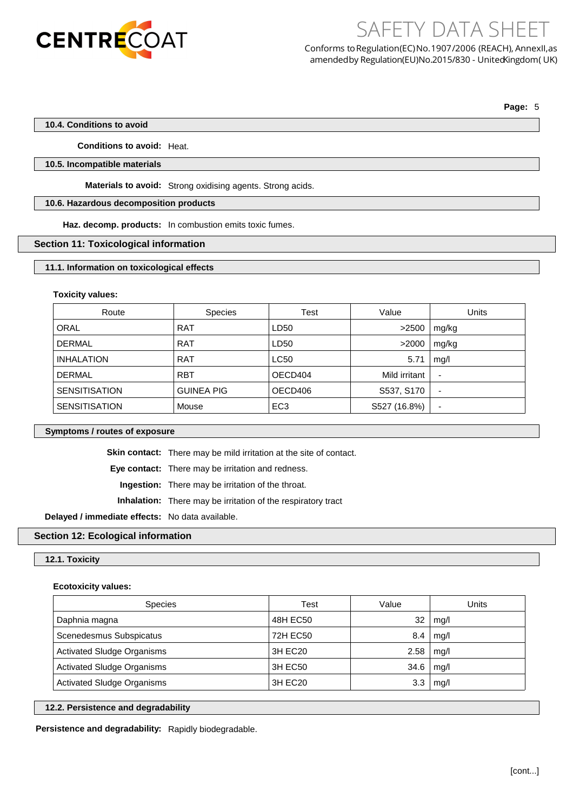

Conforms toRegulation(EC)No.1907/2006 (REACH), AnnexII,as amendedby Regulation(EU)No.2015/830 - United Kingdom (UK)

SAFETY DATA SHEET

**Page:** 5

## **10.4. Conditions to avoid**

**Conditions to avoid:** Heat.

# **10.5. Incompatible materials**

**Materials to avoid:** Strong oxidising agents. Strong acids.

# **10.6. Hazardous decomposition products**

**Haz. decomp. products:** In combustion emits toxic fumes.

# **Section 11: Toxicological information**

#### **11.1. Information on toxicological effects**

#### **Toxicity values:**

| Route                | <b>Species</b>    | Test            | Value         | Units                    |
|----------------------|-------------------|-----------------|---------------|--------------------------|
| <b>ORAL</b>          | <b>RAT</b>        | LD50            | >2500         | mg/kg                    |
| <b>DERMAL</b>        | <b>RAT</b>        | LD50            | >2000         | mg/kg                    |
| <b>INHALATION</b>    | <b>RAT</b>        | LC50            | 5.71          | mq/l                     |
| <b>DERMAL</b>        | <b>RBT</b>        | OECD404         | Mild irritant | $\overline{\phantom{a}}$ |
| <b>SENSITISATION</b> | <b>GUINEA PIG</b> | OECD406         | S537, S170    | $\overline{\phantom{a}}$ |
| <b>SENSITISATION</b> | Mouse             | EC <sub>3</sub> | S527 (16.8%)  |                          |

## **Symptoms / routes of exposure**

**Skin contact:** There may be mild irritation at the site of contact.

**Eye contact:** There may be irritation and redness.

**Ingestion:** There may be irritation of the throat.

**Inhalation:** There may be irritation of the respiratory tract

**Delayed / immediate effects:** No data available.

# **Section 12: Ecological information**

## **12.1. Toxicity**

## **Ecotoxicity values:**

| <b>Species</b>                    | Test     | Value | Units |
|-----------------------------------|----------|-------|-------|
| Daphnia magna                     | 48H EC50 | 32    | mg/l  |
| Scenedesmus Subspicatus           | 72H EC50 | 8.4   | mq/l  |
| <b>Activated Sludge Organisms</b> | 3H EC20  | 2.58  | mq/l  |
| <b>Activated Sludge Organisms</b> | 3H EC50  | 34.6  | mq/l  |
| <b>Activated Sludge Organisms</b> | 3H EC20  | 3.3   | mq/l  |

#### **12.2. Persistence and degradability**

**Persistence and degradability:** Rapidly biodegradable.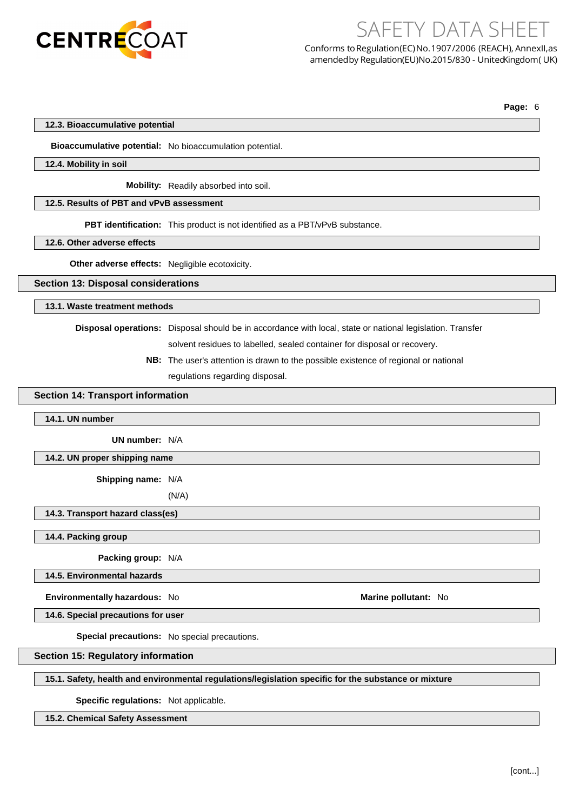

Conforms to Regulation(EC) No.1907/2006 (REACH), AnnexII, as amendedby Regulation(EU)No.2015/830 - United Kingdom (UK)

SAFETY DATA SHEET

**Page:** 6

## **12.3. Bioaccumulative potential**

**Bioaccumulative potential:** No bioaccumulation potential.

#### **12.4. Mobility in soil**

**Mobility:** Readily absorbed into soil.

# **12.5. Results of PBT and vPvB assessment**

**PBT identification:** This product is not identified as a PBT/vPvB substance.

**12.6. Other adverse effects**

**Other adverse effects:** Negligible ecotoxicity.

## **Section 13: Disposal considerations**

# **13.1. Waste treatment methods**

**Disposal operations:** Disposal should be in accordance with local, state or national legislation. Transfer

solvent residues to labelled, sealed container for disposal or recovery.

**NB:** The user's attention is drawn to the possible existence of regional or national regulations regarding disposal.

## **Section 14: Transport information**

#### **14.1. UN number**

**UN number:** N/A

## **14.2. UN proper shipping name**

**Shipping name:** N/A

(N/A)

#### **14.3. Transport hazard class(es)**

**14.4. Packing group**

**Packing group:** N/A

**14.5. Environmental hazards**

**Environmentally hazardous:** No **Marine Marine Marine pollutant:** No

**14.6. Special precautions for user**

**Special precautions:** No special precautions.

**Section 15: Regulatory information**

# **15.1. Safety, health and environmental regulations/legislation specific for the substance or mixture**

**Specific regulations:** Not applicable.

**15.2. Chemical Safety Assessment**